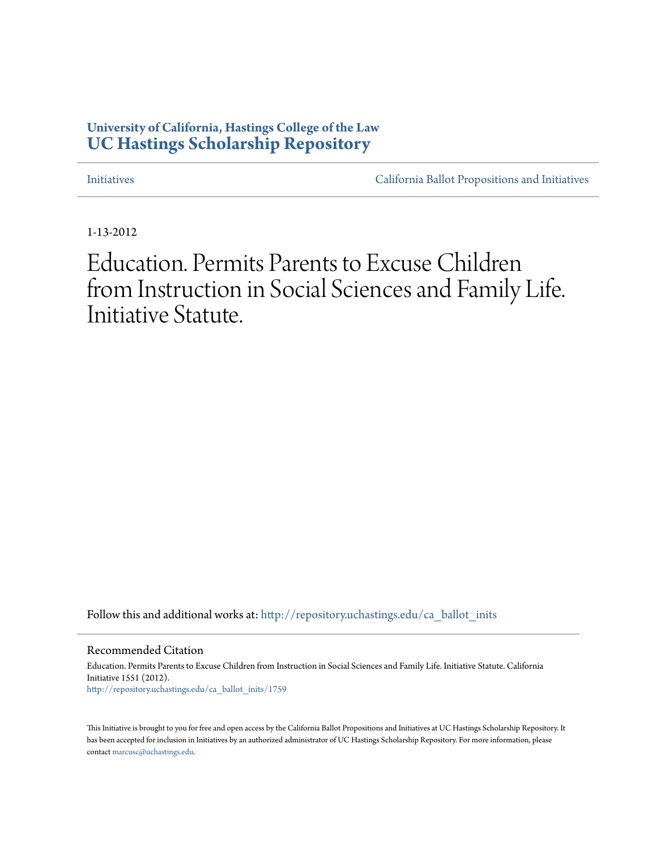# **University of California, Hastings College of the Law [UC Hastings Scholarship Repository](http://repository.uchastings.edu?utm_source=repository.uchastings.edu%2Fca_ballot_inits%2F1759&utm_medium=PDF&utm_campaign=PDFCoverPages)**

[Initiatives](http://repository.uchastings.edu/ca_ballot_inits?utm_source=repository.uchastings.edu%2Fca_ballot_inits%2F1759&utm_medium=PDF&utm_campaign=PDFCoverPages) [California Ballot Propositions and Initiatives](http://repository.uchastings.edu/ca_ballots?utm_source=repository.uchastings.edu%2Fca_ballot_inits%2F1759&utm_medium=PDF&utm_campaign=PDFCoverPages)

1-13-2012

Education. Permits Parents to Excuse Children from Instruction in Social Sciences and Family Life. Initiative Statute.

Follow this and additional works at: [http://repository.uchastings.edu/ca\\_ballot\\_inits](http://repository.uchastings.edu/ca_ballot_inits?utm_source=repository.uchastings.edu%2Fca_ballot_inits%2F1759&utm_medium=PDF&utm_campaign=PDFCoverPages)

Recommended Citation

Education. Permits Parents to Excuse Children from Instruction in Social Sciences and Family Life. Initiative Statute. California Initiative 1551 (2012). [http://repository.uchastings.edu/ca\\_ballot\\_inits/1759](http://repository.uchastings.edu/ca_ballot_inits/1759?utm_source=repository.uchastings.edu%2Fca_ballot_inits%2F1759&utm_medium=PDF&utm_campaign=PDFCoverPages)

This Initiative is brought to you for free and open access by the California Ballot Propositions and Initiatives at UC Hastings Scholarship Repository. It has been accepted for inclusion in Initiatives by an authorized administrator of UC Hastings Scholarship Repository. For more information, please contact [marcusc@uchastings.edu](mailto:marcusc@uchastings.edu).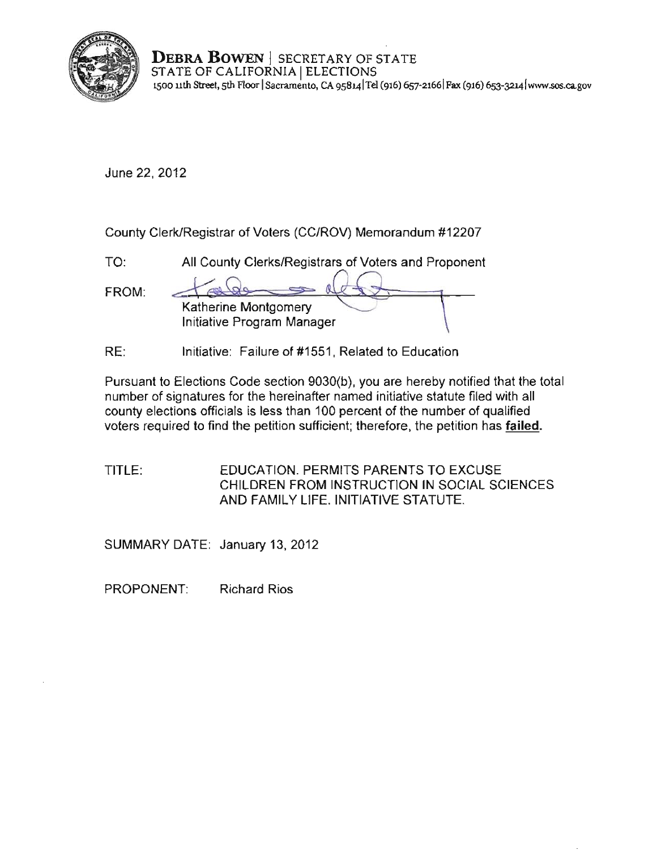

**DEBRA BOWEN** I SECRETARY OF STATE STATE OF CALIFORNIA | ELECTIONS **1500 11th Street, 5th F100r ISacramento, CA 9S8141Te1 (916) 657-21661 Fax (916) 653-32L[4lwww.sos.cago](www.sos.ca.gov)v** 

June 22, 2012

County Clerk/Registrar of Voters (CC/ROV) Memorandum #12207

TO: All County Clerks/Registrars of Voters and Proponent

FROM: Katherine Montgomery Initiative Program Manager

RE: Initiative: Failure of #1551, Related to Education

Pursuant to Elections Code section 9030(b), you are hereby notified that the total number of signatures for the hereinafter named initiative statute filed with all county elections officials is less than 100 percent of the number of qualified voters required to find the petition sufficient; therefore, the petition has failed.

TITLE: EDUCATION. PERMITS PARENTS TO EXCUSE CHILDREN FROM INSTRUCTION IN SOCIAL SCIENCES AND FAMILY LIFE. INITIATIVE STATUTE.

SUMMARY DATE: January 13, 2012

PROPONENT: Richard Rios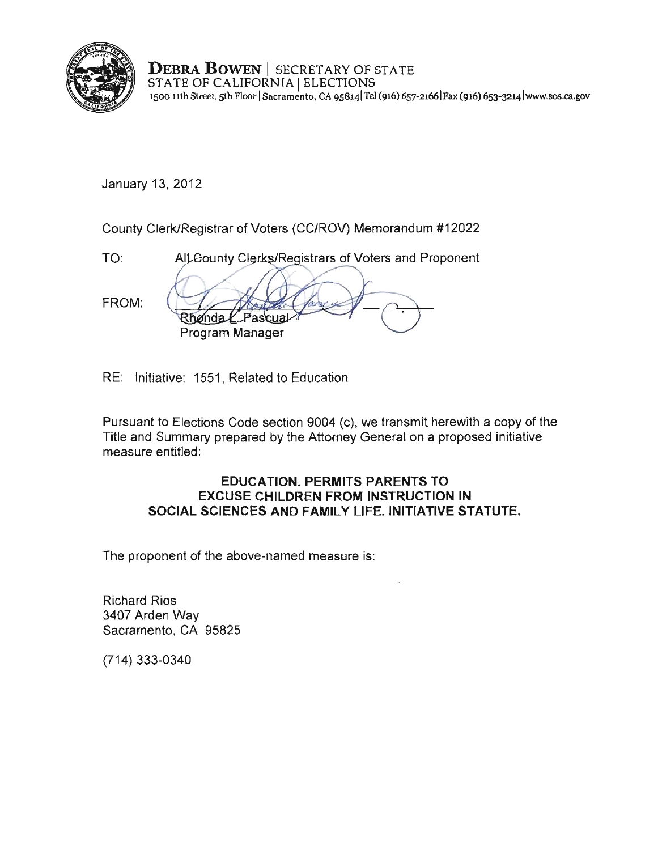

DEBRA BOWEN | SECRETARY OF STATE STATE OF CALIFORNIA | ELECTIONS 1500 nth Street, 5th F100r ISacramento, CA 9S8141Te1 (916) 657-21661 Fax (916) 6S3-3214 Iwww.sos.ca.gov

January 13, 2012

County Clerk/Registrar of Voters (CC/ROV) Memorandum #12022

TO: AIL County Clerks/Registrars of Voters and Proponent FROM: nda. Program Manager

RE: Initiative: 1551, Related to Education

Pursuant to Elections Code section 9004 (c), we transmit herewith a copy of the Title and Summary prepared by the Attorney General on a proposed initiative measure entitled:

#### EDUCATION. PERMITS PARENTS TO EXCUSE CHILDREN FROM INSTRUCTION IN SOCIAL SCIENCES AND FAMILY LIFE. INITIATIVE STATUTE.

The proponent of the above·named measure is:

Richard Rios 3407 Arden Way Sacramento, CA 95825

(714) 333·0340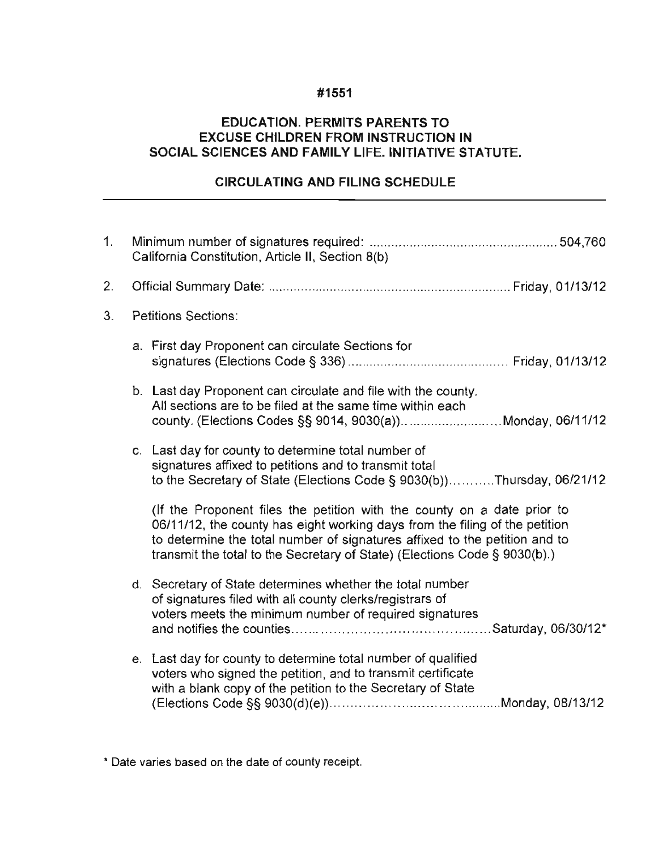#### **#1551**

#### **EDUCATION. PERMITS PARENTS TO EXCUSE CHILDREN FROM INSTRUCTION IN SOCIAL SCIENCES AND FAMILY** LIFE. INITIATIVE **STATUTE.**

## **CIRCULATING AND FILING SCHEDULE**

| 1. | California Constitution, Article II, Section 8(b) |                                                                                                                                                                                                                                                                                                                   |
|----|---------------------------------------------------|-------------------------------------------------------------------------------------------------------------------------------------------------------------------------------------------------------------------------------------------------------------------------------------------------------------------|
| 2. |                                                   |                                                                                                                                                                                                                                                                                                                   |
| 3. |                                                   | <b>Petitions Sections:</b>                                                                                                                                                                                                                                                                                        |
|    |                                                   | a. First day Proponent can circulate Sections for                                                                                                                                                                                                                                                                 |
|    |                                                   | b. Last day Proponent can circulate and file with the county.<br>All sections are to be filed at the same time within each<br>county. (Elections Codes §§ 9014, 9030(a))Monday, 06/11/12                                                                                                                          |
|    |                                                   | c. Last day for county to determine total number of<br>signatures affixed to petitions and to transmit total<br>to the Secretary of State (Elections Code § 9030(b))Thursday, 06/21/12                                                                                                                            |
|    |                                                   | (If the Proponent files the petition with the county on a date prior to<br>06/11/12, the county has eight working days from the filing of the petition<br>to determine the total number of signatures affixed to the petition and to<br>transmit the total to the Secretary of State) (Elections Code § 9030(b).) |
|    |                                                   | d. Secretary of State determines whether the total number<br>of signatures filed with all county clerks/registrars of<br>voters meets the minimum number of required signatures                                                                                                                                   |
|    |                                                   | e. Last day for county to determine total number of qualified<br>voters who signed the petition, and to transmit certificate<br>with a blank copy of the petition to the Secretary of State                                                                                                                       |

**\* Date varies based on the date of county receipt.**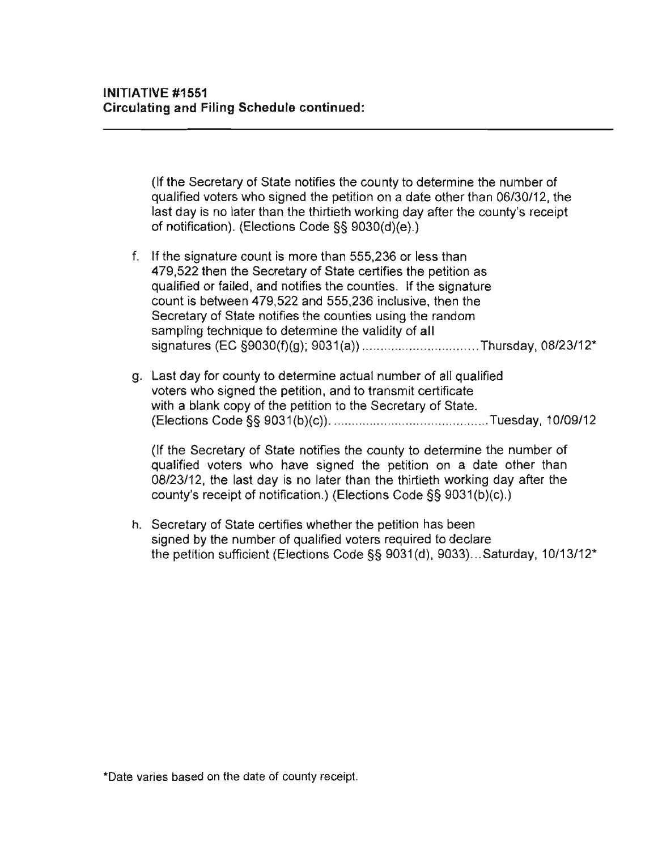(If **Ihe** Secrelary of State notifies the county to determine the number of qualified voters who signed the petition on a date other than 06/30/12, the last day is no later than the thirtieth working day after the county's receipt of notification). (Elections Code §§ 9030(d)(e).)

- f. If the signature count is more than 555,236 or less than 479,522 then the Secretary of State certifies the petition as qualified or failed, and notifies the counties. If the signature count is between 479,522 and 555,236 inclusive, then the Secretary of State notifies the counties using the random sampling technique to determine the validity of **all**  signatures (EC §9030(f)(g); 9031(a)) ...... .............. ............ Thursday, 08/23/12\*
- g. Last day for county to determine actual number of all qualified voters who signed the petition, and to transmit certificate with a blank copy of the petition to the Secretary of State. (Elections Code §§ 9031 (b)(c)) .......... ...... .. .... ...................... Tuesday, 10109/12

(If the Secretary of State notifies the county to determine the number of qualified voters who have signed the petition on a date other than 08/23/12, the last day is no later than the thirtieth working day after the county's receipt of notification.) (Elections Code §§ 9031(b)(c).)

h. Secretary of State certifies whether the petition has been signed by the number of qualified voters required to declare the petition sufficient (Elections Code §§ 9031(d), 9033) ... Saturday, 10/13/12\*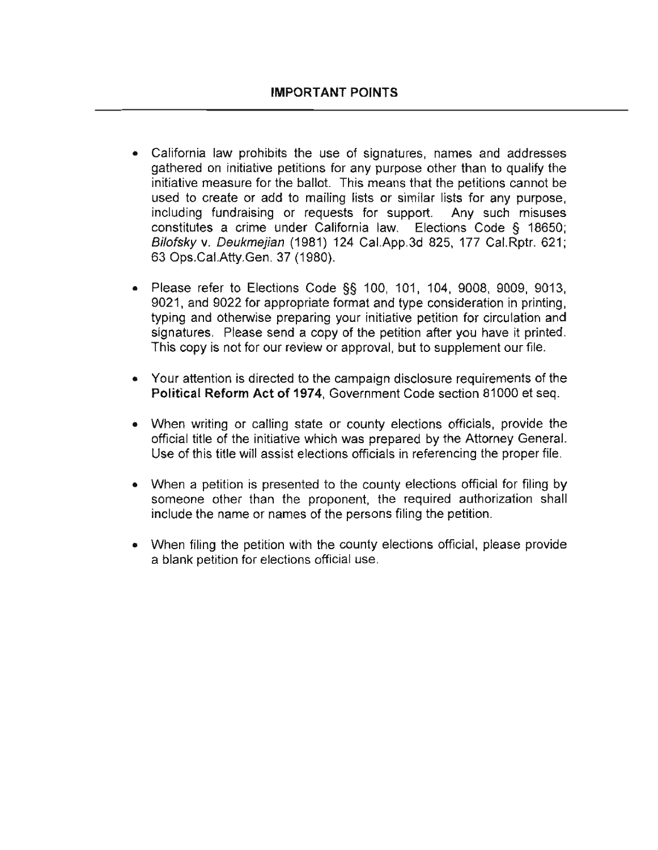- **California law prohibits the use of signatures, names and addresses**  gathered on initiative petitions for any purpose other than to qualify the initiative measure for the ballot. This means that the petitions cannot be used to create or add to mailing lists or similar lists for any purpose, including fundraising or requests for support. Any such misuses constitutes a crime under California law. Elections Code § 18650; Bilofsky v. Deukmejian (1981) 124 Cal.App.3d 825, 177 Cal.Rptr. 621; 63 Ops.CaI.Atty.Gen. 37 (1980).
- Please refer to Elections Code §§ 100, 101, 104, 9008, 9009, 9013, 9021, and 9022 for appropriate format and type consideration in printing. typing and otherwise preparing your initiative petition for circulation and signatures. Please send a copy of the petition after you have it printed. This copy is not for our review or approval, but to supplement our file.
- **Your attention is directed to the campaign disclosure requirements of the**  Political Reform Act of 1974, Government Code section 81000 et seq.
- When writing or calling state or county elections officials, provide the official title of the initiative which was prepared by the Attorney General. Use of this title will assist elections officials in referencing the proper file.
- When a petition is presented to the county elections official for filing by someone other than the proponent, the required authorization shall include the name or names of the persons filing the petition.
- When filing the petition with the county elections official, please provide a blank petition for elections official use.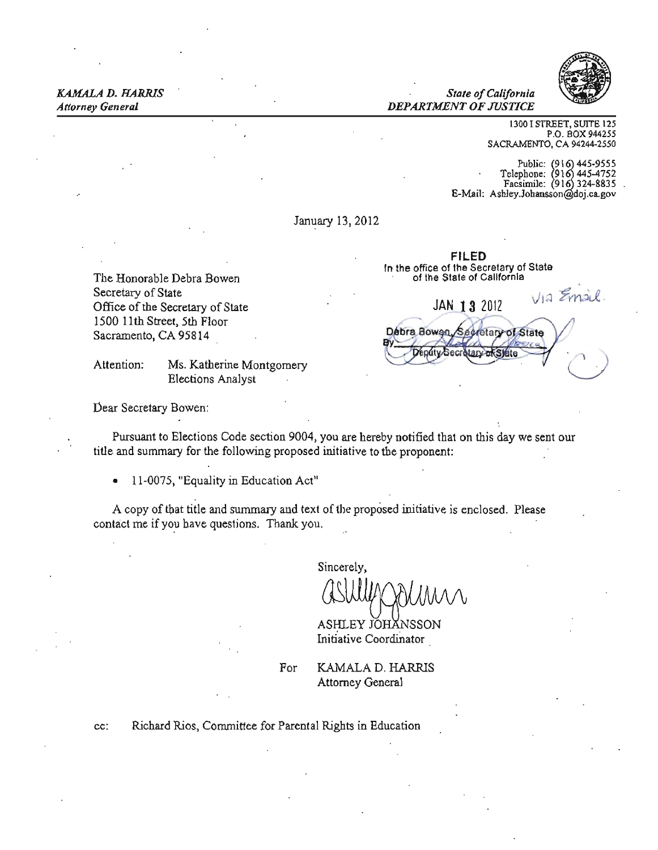

#### *KAMALA D. HARRIS Stale ofCalifornia Attorney General DEPARTMENT OF JUSTICE*

1300 I STREET, SUITE 125 P.O. BOX 944255 SACRAMENTO, CA 94244-2550

Public: (916) 445-9555<br>Telephone: (916) 445-4752 Facsimile: (916) 324-8835 E-Mail: Ashley.Johansson@doj.ca.gov

January 13, 2012

FILED In the office of the Secretary of State The Honorable Debra Bowen of the State of California

VIA Email. Debra Bowen Secretary of State enuty Sec tarv **of State** 

Secretary of State Office of the Secretary of State JAN 13 2012 1500 lith Street, 5th Floor Sacramento, CA 95814

Attention: Ms. Katherine Montgomery Elections Analyst

Dear Secretary Bowen:

Pursuant to Elections Code section 9004, you are hereby notified that on this day we sent our title and summary for the following proposed initiative to the proponent:

• 11-0075, "Equality in Education Act"

A copy of that title and summary and text of the proposed initiative is enclosed. Please contact me if you have questions. Thank you.

Sincerely.

ASHLEY JOHANSSON Initiative Coordinator

For **KAMALA D. HARRIS** Attorney General

cc: Richard Rios, Conunittee for Parental Rights in Education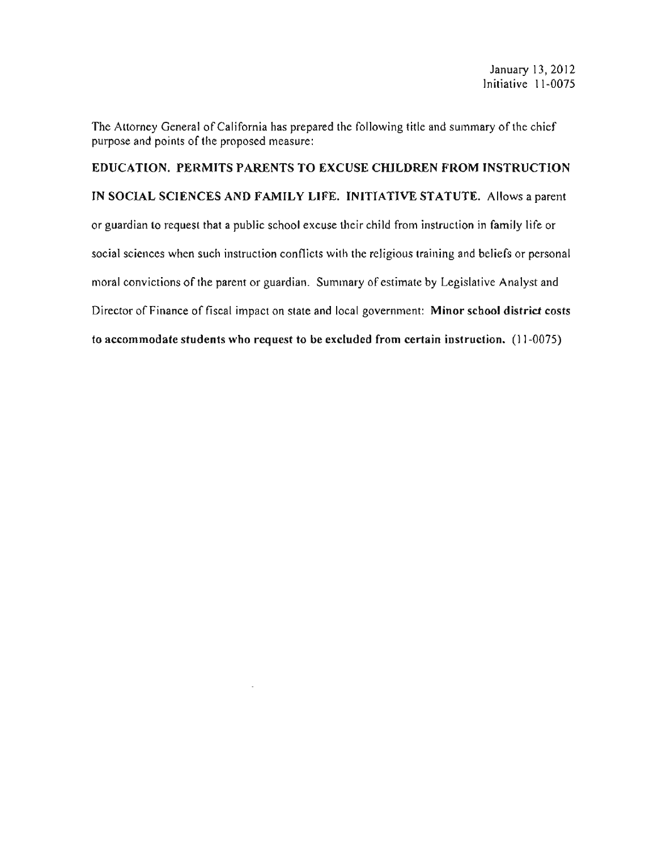The Attorney General of California has prepared the following title and summary of the chief purpose and points of the proposed measure:

EDUCATION. PERMITS PARENTS TO EXCUSE CHILDREN FROM INSTRUCTION IN SOCIAL SCIENCES AND FAMILY LIFE. INITIATIVE STATUTE. Allows a parent or guardian to request that a public school excuse their child from instruction in family life or social sciences when such instruction conflicts with the religious training and beliefs or personal moral convictions of the parent or guardian. Summary of estimate by Legislative Analyst and Director of Finance of fiscal impact on state and local government: Minor school district costs to accommodate students who request to be excluded from certain instruction. (11-0075)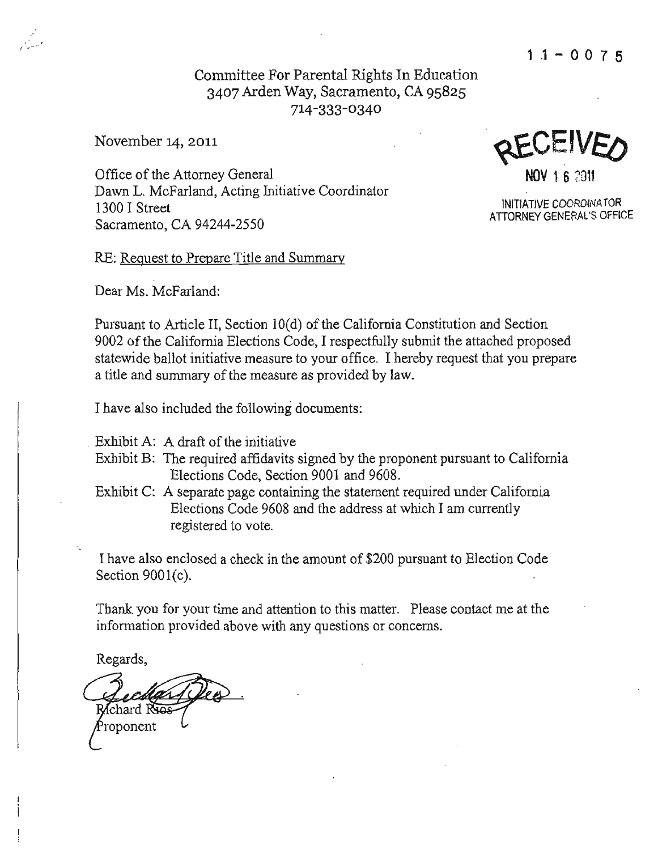**1 .1-0075** 

# Committee For Parental Rights **In** Edncation 3407 Arden Way, Sacramento, CA 95825 714-333-0340

November 14, 2011

Office of the Attorney General **NOV 1 6** 2011 Dawn L. McFarland, Acting Initiative Coordinator 1300 I Street INITIATIVE COORDINATOR Sacramento, CA 94244-2550

ATIORNEY GENERAL'S OFFICE

RE: Reguest to Prepare Title and Summary

Dear Ms. McFarland:

Pursuant to Article II, Section 10(d) of the California Constitution and Section 9002 of the California Elections Code, I respectfully submit the attached proposed statewide ballot initiative measure to your office. I hereby request that you prepare a title and summary of the measure as provided by law.

I have also included the following documents:

Exhibit A: A draft of the initiative

- Exhibit B: The required affidavits signed by the proponent pursuant to California Elections Code, Section 9001 and 9608.
- Exhibit C: A separate page containing the statement required under California Elections Code 9608 and the address at which I am currently registered to vote.

I have also enclosed a check in the amount of \$200 pursuant to Election Code Section 9001(c).

Thank you for your time and attention to this matter. Please contact me at the information provided above with any questions or concerns.

Regards,

Richard Ryas roponent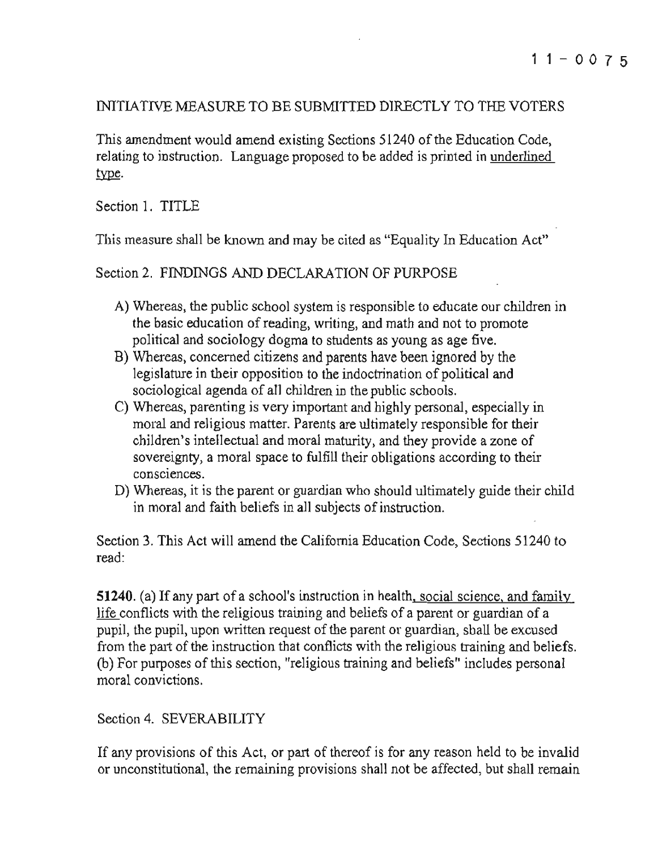### INITLATIVE MEASURE TO BE SUBMITTED DIRECTLY TO THE VOTERS

This amendment would amend existing Sections 51240 of the Education Code, relating to instruction. Language proposed to be added is printed in underlined type.

Section I. TITLE

This measure shall be known and may be cited as "Equality In Education Act"

Section 2. FINDINGS AND DECLARATION OF PURPOSE

- A) Whereas, the public school system is responsible to educate our children in the basic education of reading, writing, and math and not to promote political and sociology dogma to students as young as age five.
- B) Whereas, concerned citizens and parents have been ignored by the legislature in tbeir opposition to the indoctrination of political and sociological agenda of all children in the public schools.
- C) Whereas, parenting is very important and highly personal, especially in moral and religious matter. Parents are ultimately responsible for their children's intellectual and moral maturity, and they provide a zone of sovereignty, a moral space to fulfill their obligations according to their **conSCIences.**
- D) Whereas, it is the parent or guardian who should ultimately guide their child in moral and faith beliefs in all subjects of instruction.

Section 3. This Act will amend the California Education Code, Sections 51240 to read:

51240. (a) If any part of a school's instruction in health, social science, and family life conflicts with the religious training and beliefs of a parent or guardian of a pupil, the pupil, upon written request of the parent or guardian, shall be excused from the part of the instruction that conflicts with the religious training and beliefs. (b) For purposes of this section, "religious training and beliefs" includes personal **moral convictions.** 

# Section 4. SEVERABILITY

If any provisions of this Act, or part of thereof is for any reason held to be invalid or unconstitutional, the remaining provisions shall not be affected, but shall remain